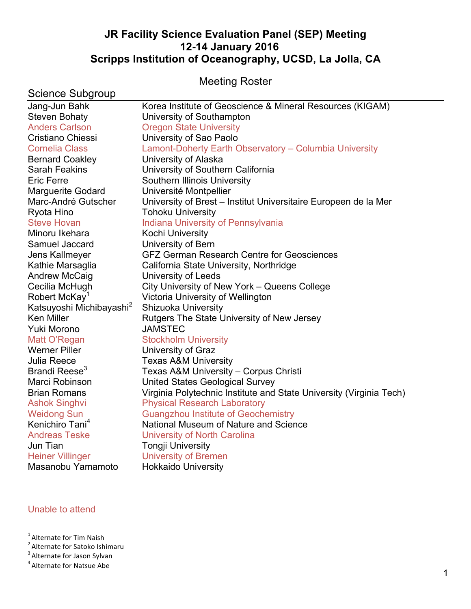# **JR Facility Science Evaluation Panel (SEP) Meeting 12-14 January 2016 Scripps Institution of Oceanography, UCSD, La Jolla, CA**

Meeting Roster

| Science Subgroup                     |                                                                     |
|--------------------------------------|---------------------------------------------------------------------|
| Jang-Jun Bahk                        | Korea Institute of Geoscience & Mineral Resources (KIGAM)           |
| <b>Steven Bohaty</b>                 | University of Southampton                                           |
| <b>Anders Carlson</b>                | <b>Oregon State University</b>                                      |
| <b>Cristiano Chiessi</b>             | University of Sao Paolo                                             |
| <b>Cornelia Class</b>                | Lamont-Doherty Earth Observatory - Columbia University              |
| <b>Bernard Coakley</b>               | University of Alaska                                                |
| <b>Sarah Feakins</b>                 | University of Southern California                                   |
| <b>Eric Ferre</b>                    | Southern Illinois University                                        |
| <b>Marguerite Godard</b>             | Université Montpellier                                              |
| Marc-André Gutscher                  | University of Brest – Institut Universitaire Europeen de la Mer     |
| Ryota Hino                           | <b>Tohoku University</b>                                            |
| <b>Steve Hovan</b>                   | Indiana University of Pennsylvania                                  |
| Minoru Ikehara                       | Kochi University                                                    |
| Samuel Jaccard                       | University of Bern                                                  |
| Jens Kallmeyer                       | <b>GFZ German Research Centre for Geosciences</b>                   |
| Kathie Marsaglia                     | California State University, Northridge                             |
| <b>Andrew McCaig</b>                 | University of Leeds                                                 |
| Cecilia McHugh                       | City University of New York - Queens College                        |
| Robert McKay <sup>1</sup>            | Victoria University of Wellington                                   |
| Katsuyoshi Michibayashi <sup>2</sup> | <b>Shizuoka University</b>                                          |
| <b>Ken Miller</b>                    | Rutgers The State University of New Jersey                          |
| Yuki Morono                          | <b>JAMSTEC</b>                                                      |
| Matt O'Regan                         | <b>Stockholm University</b>                                         |
| <b>Werner Piller</b>                 | University of Graz                                                  |
| Julia Reece                          | <b>Texas A&amp;M University</b>                                     |
| Brandi Reese <sup>3</sup>            | Texas A&M University - Corpus Christi                               |
| Marci Robinson                       | United States Geological Survey                                     |
| <b>Brian Romans</b>                  | Virginia Polytechnic Institute and State University (Virginia Tech) |
| <b>Ashok Singhvi</b>                 | <b>Physical Research Laboratory</b>                                 |
| <b>Weidong Sun</b>                   | <b>Guangzhou Institute of Geochemistry</b>                          |
| Kenichiro Tani <sup>4</sup>          | National Museum of Nature and Science                               |
| <b>Andreas Teske</b>                 | University of North Carolina                                        |
| Jun Tian                             | <b>Tongji University</b>                                            |
| <b>Heiner Villinger</b>              | <b>University of Bremen</b>                                         |
| Masanobu Yamamoto                    | <b>Hokkaido University</b>                                          |

# Unable to attend

<sup>1</sup> Alternate for Tim Naish

 $^{\text{\tiny{\textsf{I}}}}$  Alternate for Tim Naish<br><sup>2</sup> Alternate for Satoko Ishimaru

<sup>3</sup> Alternate for Jason Sylvan

 $<sup>4</sup>$  Alternate for Natsue Abe</sup>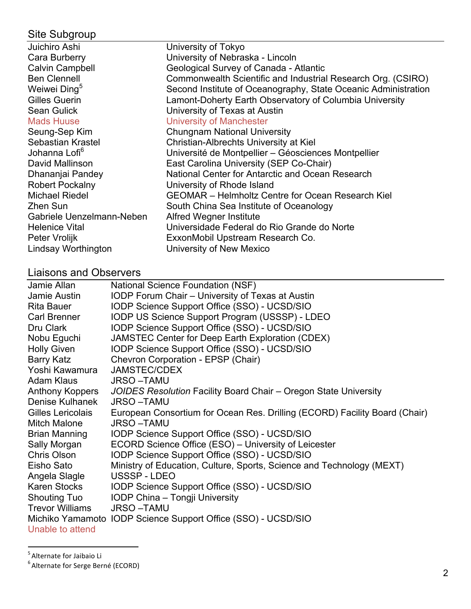# Site Subgroup

| Juichiro Ashi             | University of Tokyo                                            |
|---------------------------|----------------------------------------------------------------|
| Cara Burberry             | University of Nebraska - Lincoln                               |
| <b>Calvin Campbell</b>    | Geological Survey of Canada - Atlantic                         |
| <b>Ben Clennell</b>       | Commonwealth Scientific and Industrial Research Org. (CSIRO)   |
| Weiwei Ding <sup>5</sup>  | Second Institute of Oceanography, State Oceanic Administration |
| <b>Gilles Guerin</b>      | Lamont-Doherty Earth Observatory of Columbia University        |
| <b>Sean Gulick</b>        | University of Texas at Austin                                  |
| <b>Mads Huuse</b>         | <b>University of Manchester</b>                                |
| Seung-Sep Kim             | <b>Chungnam National University</b>                            |
| Sebastian Krastel         | Christian-Albrechts University at Kiel                         |
| Johanna Lofi <sup>6</sup> | Université de Montpellier – Géosciences Montpellier            |
| David Mallinson           | East Carolina University (SEP Co-Chair)                        |
| Dhananjai Pandey          | National Center for Antarctic and Ocean Research               |
| <b>Robert Pockalny</b>    | University of Rhode Island                                     |
| Michael Riedel            | <b>GEOMAR</b> – Helmholtz Centre for Ocean Research Kiel       |
| Zhen Sun                  | South China Sea Institute of Oceanology                        |
| Gabriele Uenzelmann-Neben | Alfred Wegner Institute                                        |
| <b>Helenice Vital</b>     | Universidade Federal do Rio Grande do Norte                    |
| Peter Vrolijk             | ExxonMobil Upstream Research Co.                               |
| Lindsay Worthington       | University of New Mexico                                       |

# Liaisons and Observers

| Jamie Allan            | National Science Foundation (NSF)                                          |
|------------------------|----------------------------------------------------------------------------|
| Jamie Austin           | <b>IODP Forum Chair - University of Texas at Austin</b>                    |
| <b>Rita Bauer</b>      | IODP Science Support Office (SSO) - UCSD/SIO                               |
| Carl Brenner           | IODP US Science Support Program (USSSP) - LDEO                             |
| Dru Clark              | IODP Science Support Office (SSO) - UCSD/SIO                               |
| Nobu Eguchi            | JAMSTEC Center for Deep Earth Exploration (CDEX)                           |
| <b>Holly Given</b>     | IODP Science Support Office (SSO) - UCSD/SIO                               |
| Barry Katz             | Chevron Corporation - EPSP (Chair)                                         |
| Yoshi Kawamura         | <b>JAMSTEC/CDEX</b>                                                        |
| Adam Klaus             | <b>JRSO-TAMU</b>                                                           |
| Anthony Koppers        | JOIDES Resolution Facility Board Chair – Oregon State University           |
| Denise Kulhanek        | <b>JRSO-TAMU</b>                                                           |
| Gilles Lericolais      | European Consortium for Ocean Res. Drilling (ECORD) Facility Board (Chair) |
| <b>Mitch Malone</b>    | <b>JRSO-TAMU</b>                                                           |
| <b>Brian Manning</b>   | IODP Science Support Office (SSO) - UCSD/SIO                               |
| Sally Morgan           | ECORD Science Office (ESO) - University of Leicester                       |
| Chris Olson            | IODP Science Support Office (SSO) - UCSD/SIO                               |
| Eisho Sato             | Ministry of Education, Culture, Sports, Science and Technology (MEXT)      |
| Angela Slagle          | USSSP-LDEO                                                                 |
| Karen Stocks           | IODP Science Support Office (SSO) - UCSD/SIO                               |
| <b>Shouting Tuo</b>    | IODP China - Tongji University                                             |
| <b>Trevor Williams</b> | <b>JRSO-TAMU</b>                                                           |
|                        | Michiko Yamamoto IODP Science Support Office (SSO) - UCSD/SIO              |
| Unable to attend       |                                                                            |

 <sup>5</sup> Alternate 
 for 
 Jaibaio 
 Li 6 Alternate 
 for 
 Serge 
 Berné (ECORD)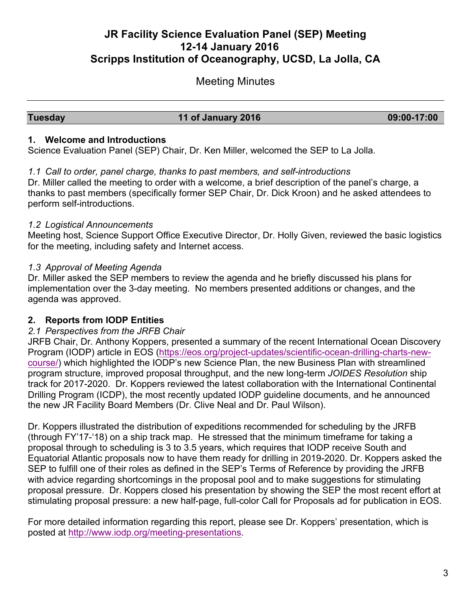# **JR Facility Science Evaluation Panel (SEP) Meeting 12-14 January 2016 Scripps Institution of Oceanography, UCSD, La Jolla, CA**

# Meeting Minutes

#### **Tuesday 11 of January 2016 09:00-17:00**

#### **1. Welcome and Introductions**

Science Evaluation Panel (SEP) Chair, Dr. Ken Miller, welcomed the SEP to La Jolla.

#### *1.1 Call to order, panel charge, thanks to past members, and self-introductions*

Dr. Miller called the meeting to order with a welcome, a brief description of the panel's charge, a thanks to past members (specifically former SEP Chair, Dr. Dick Kroon) and he asked attendees to perform self-introductions.

# *1.2 Logistical Announcements*

Meeting host, Science Support Office Executive Director, Dr. Holly Given, reviewed the basic logistics for the meeting, including safety and Internet access.

# *1.3 Approval of Meeting Agenda*

Dr. Miller asked the SEP members to review the agenda and he briefly discussed his plans for implementation over the 3-day meeting. No members presented additions or changes, and the agenda was approved.

# **2. Reports from IODP Entities**

# *2.1 Perspectives from the JRFB Chair*

JRFB Chair, Dr. Anthony Koppers, presented a summary of the recent International Ocean Discovery Program (IODP) article in EOS (https://eos.org/project-updates/scientific-ocean-drilling-charts-newcourse/) which highlighted the IODP's new Science Plan, the new Business Plan with streamlined program structure, improved proposal throughput, and the new long-term *JOIDES Resolution* ship track for 2017-2020. Dr. Koppers reviewed the latest collaboration with the International Continental Drilling Program (ICDP), the most recently updated IODP guideline documents, and he announced the new JR Facility Board Members (Dr. Clive Neal and Dr. Paul Wilson).

Dr. Koppers illustrated the distribution of expeditions recommended for scheduling by the JRFB (through FY'17-'18) on a ship track map. He stressed that the minimum timeframe for taking a proposal through to scheduling is 3 to 3.5 years, which requires that IODP receive South and Equatorial Atlantic proposals now to have them ready for drilling in 2019-2020. Dr. Koppers asked the SEP to fulfill one of their roles as defined in the SEP's Terms of Reference by providing the JRFB with advice regarding shortcomings in the proposal pool and to make suggestions for stimulating proposal pressure. Dr. Koppers closed his presentation by showing the SEP the most recent effort at stimulating proposal pressure: a new half-page, full-color Call for Proposals ad for publication in EOS.

For more detailed information regarding this report, please see Dr. Koppers' presentation, which is posted at http://www.iodp.org/meeting-presentations.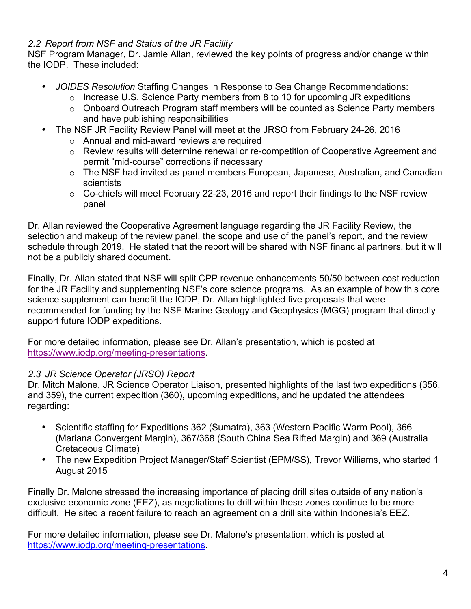# *2.2 Report from NSF and Status of the JR Facility*

NSF Program Manager, Dr. Jamie Allan, reviewed the key points of progress and/or change within the IODP. These included:

- *JOIDES Resolution* Staffing Changes in Response to Sea Change Recommendations:
	- o Increase U.S. Science Party members from 8 to 10 for upcoming JR expeditions
	- $\circ$  Onboard Outreach Program staff members will be counted as Science Party members and have publishing responsibilities
- The NSF JR Facility Review Panel will meet at the JRSO from February 24-26, 2016
	- o Annual and mid-award reviews are required
	- $\circ$  Review results will determine renewal or re-competition of Cooperative Agreement and permit "mid-course" corrections if necessary
	- o The NSF had invited as panel members European, Japanese, Australian, and Canadian scientists
	- $\circ$  Co-chiefs will meet February 22-23, 2016 and report their findings to the NSF review panel

Dr. Allan reviewed the Cooperative Agreement language regarding the JR Facility Review, the selection and makeup of the review panel, the scope and use of the panel's report, and the review schedule through 2019. He stated that the report will be shared with NSF financial partners, but it will not be a publicly shared document.

Finally, Dr. Allan stated that NSF will split CPP revenue enhancements 50/50 between cost reduction for the JR Facility and supplementing NSF's core science programs. As an example of how this core science supplement can benefit the IODP, Dr. Allan highlighted five proposals that were recommended for funding by the NSF Marine Geology and Geophysics (MGG) program that directly support future IODP expeditions.

For more detailed information, please see Dr. Allan's presentation, which is posted at https://www.iodp.org/meeting-presentations.

# *2.3 JR Science Operator (JRSO) Report*

Dr. Mitch Malone, JR Science Operator Liaison, presented highlights of the last two expeditions (356, and 359), the current expedition (360), upcoming expeditions, and he updated the attendees regarding:

- Scientific staffing for Expeditions 362 (Sumatra), 363 (Western Pacific Warm Pool), 366 (Mariana Convergent Margin), 367/368 (South China Sea Rifted Margin) and 369 (Australia Cretaceous Climate)
- The new Expedition Project Manager/Staff Scientist (EPM/SS), Trevor Williams, who started 1 August 2015

Finally Dr. Malone stressed the increasing importance of placing drill sites outside of any nation's exclusive economic zone (EEZ), as negotiations to drill within these zones continue to be more difficult. He sited a recent failure to reach an agreement on a drill site within Indonesia's EEZ.

For more detailed information, please see Dr. Malone's presentation, which is posted at https://www.iodp.org/meeting-presentations.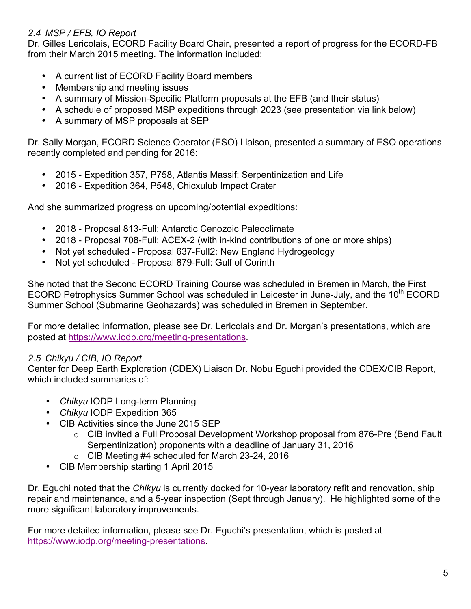# *2.4 MSP / EFB, IO Report*

Dr. Gilles Lericolais, ECORD Facility Board Chair, presented a report of progress for the ECORD-FB from their March 2015 meeting. The information included:

- A current list of ECORD Facility Board members
- Membership and meeting issues
- A summary of Mission-Specific Platform proposals at the EFB (and their status)
- A schedule of proposed MSP expeditions through 2023 (see presentation via link below)
- A summary of MSP proposals at SEP

Dr. Sally Morgan, ECORD Science Operator (ESO) Liaison, presented a summary of ESO operations recently completed and pending for 2016:

- 2015 Expedition 357, P758, Atlantis Massif: Serpentinization and Life
- 2016 Expedition 364, P548, Chicxulub Impact Crater

And she summarized progress on upcoming/potential expeditions:

- 2018 Proposal 813-Full: Antarctic Cenozoic Paleoclimate
- 2018 Proposal 708-Full: ACEX-2 (with in-kind contributions of one or more ships)
- Not yet scheduled Proposal 637-Full2: New England Hydrogeology
- Not yet scheduled Proposal 879-Full: Gulf of Corinth

She noted that the Second ECORD Training Course was scheduled in Bremen in March, the First ECORD Petrophysics Summer School was scheduled in Leicester in June-July, and the  $10<sup>th</sup>$  ECORD Summer School (Submarine Geohazards) was scheduled in Bremen in September.

For more detailed information, please see Dr. Lericolais and Dr. Morgan's presentations, which are posted at https://www.iodp.org/meeting-presentations.

# *2.5 Chikyu / CIB, IO Report*

Center for Deep Earth Exploration (CDEX) Liaison Dr. Nobu Eguchi provided the CDEX/CIB Report, which included summaries of:

- *Chikyu* IODP Long-term Planning
- *Chikyu* IODP Expedition 365
- CIB Activities since the June 2015 SEP
	- o CIB invited a Full Proposal Development Workshop proposal from 876-Pre (Bend Fault Serpentinization) proponents with a deadline of January 31, 2016
	- o CIB Meeting #4 scheduled for March 23-24, 2016
- CIB Membership starting 1 April 2015

Dr. Eguchi noted that the *Chikyu* is currently docked for 10-year laboratory refit and renovation, ship repair and maintenance, and a 5-year inspection (Sept through January). He highlighted some of the more significant laboratory improvements.

For more detailed information, please see Dr. Eguchi's presentation, which is posted at https://www.iodp.org/meeting-presentations.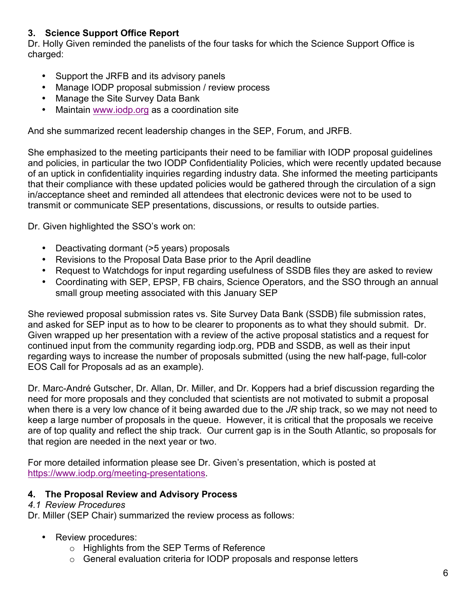# **3. Science Support Office Report**

Dr. Holly Given reminded the panelists of the four tasks for which the Science Support Office is charged:

- Support the JRFB and its advisory panels
- Manage IODP proposal submission / review process
- Manage the Site Survey Data Bank
- Maintain www.iodp.org as a coordination site

And she summarized recent leadership changes in the SEP, Forum, and JRFB.

She emphasized to the meeting participants their need to be familiar with IODP proposal guidelines and policies, in particular the two IODP Confidentiality Policies, which were recently updated because of an uptick in confidentiality inquiries regarding industry data. She informed the meeting participants that their compliance with these updated policies would be gathered through the circulation of a sign in/acceptance sheet and reminded all attendees that electronic devices were not to be used to transmit or communicate SEP presentations, discussions, or results to outside parties.

Dr. Given highlighted the SSO's work on:

- Deactivating dormant (>5 years) proposals
- Revisions to the Proposal Data Base prior to the April deadline
- Request to Watchdogs for input regarding usefulness of SSDB files they are asked to review
- Coordinating with SEP, EPSP, FB chairs, Science Operators, and the SSO through an annual small group meeting associated with this January SEP

She reviewed proposal submission rates vs. Site Survey Data Bank (SSDB) file submission rates, and asked for SEP input as to how to be clearer to proponents as to what they should submit. Dr. Given wrapped up her presentation with a review of the active proposal statistics and a request for continued input from the community regarding iodp.org, PDB and SSDB, as well as their input regarding ways to increase the number of proposals submitted (using the new half-page, full-color EOS Call for Proposals ad as an example).

Dr. Marc-André Gutscher, Dr. Allan, Dr. Miller, and Dr. Koppers had a brief discussion regarding the need for more proposals and they concluded that scientists are not motivated to submit a proposal when there is a very low chance of it being awarded due to the *JR* ship track, so we may not need to keep a large number of proposals in the queue. However, it is critical that the proposals we receive are of top quality and reflect the ship track. Our current gap is in the South Atlantic, so proposals for that region are needed in the next year or two.

For more detailed information please see Dr. Given's presentation, which is posted at https://www.iodp.org/meeting-presentations.

# **4. The Proposal Review and Advisory Process**

#### *4.1 Review Procedures*

Dr. Miller (SEP Chair) summarized the review process as follows:

- Review procedures:
	- o Highlights from the SEP Terms of Reference
	- $\circ$  General evaluation criteria for IODP proposals and response letters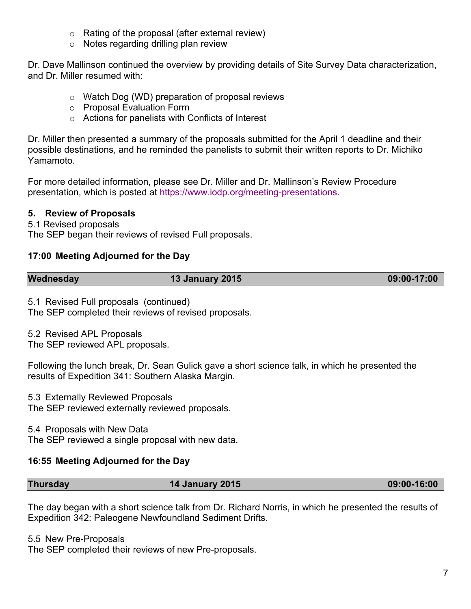- o Rating of the proposal (after external review)
- $\circ$  Notes regarding drilling plan review

Dr. Dave Mallinson continued the overview by providing details of Site Survey Data characterization, and Dr. Miller resumed with:

- o Watch Dog (WD) preparation of proposal reviews
- o Proposal Evaluation Form
- o Actions for panelists with Conflicts of Interest

Dr. Miller then presented a summary of the proposals submitted for the April 1 deadline and their possible destinations, and he reminded the panelists to submit their written reports to Dr. Michiko Yamamoto.

For more detailed information, please see Dr. Miller and Dr. Mallinson's Review Procedure presentation, which is posted at https://www.iodp.org/meeting-presentations.

# **5. Review of Proposals**

5.1 Revised proposals

The SEP began their reviews of revised Full proposals.

# **17:00 Meeting Adjourned for the Day**

| Wednesday | <b>13 January 2015</b> | 09:00-17:00 |
|-----------|------------------------|-------------|
|           |                        |             |

5.1 Revised Full proposals (continued)

The SEP completed their reviews of revised proposals.

5.2 Revised APL Proposals

The SEP reviewed APL proposals.

Following the lunch break, Dr. Sean Gulick gave a short science talk, in which he presented the results of Expedition 341: Southern Alaska Margin.

5.3 Externally Reviewed Proposals

The SEP reviewed externally reviewed proposals.

5.4 Proposals with New Data

The SEP reviewed a single proposal with new data.

# **16:55 Meeting Adjourned for the Day**

|  | <b>Thursday</b> | <b>14 January 2015</b> | 09:00-16:00 |
|--|-----------------|------------------------|-------------|
|--|-----------------|------------------------|-------------|

The day began with a short science talk from Dr. Richard Norris, in which he presented the results of Expedition 342: Paleogene Newfoundland Sediment Drifts.

5.5 New Pre-Proposals

The SEP completed their reviews of new Pre-proposals.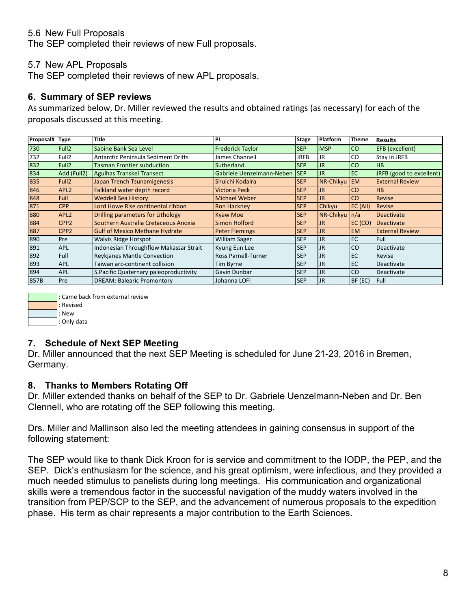### 5.6 New Full Proposals

The SEP completed their reviews of new Full proposals.

#### 5.7 New APL Proposals

The SEP completed their reviews of new APL proposals.

#### **6. Summary of SEP reviews**

As summarized below, Dr. Miller reviewed the results and obtained ratings (as necessary) for each of the proposals discussed at this meeting.

| Proposal# | <b>Type</b>       | <b>Title</b>                               | PI                        | Stage       | <b>Platform</b> | <b>Theme</b>  | <b>Results</b>                  |
|-----------|-------------------|--------------------------------------------|---------------------------|-------------|-----------------|---------------|---------------------------------|
| 730       | Full <sub>2</sub> | Sabine Bank Sea Level                      | <b>Frederick Taylor</b>   | <b>SEP</b>  | <b>MSP</b>      | CO            | <b>EFB</b> (excellent)          |
| 732       | Full <sub>2</sub> | <b>Antarctic Peninsula Sediment Drifts</b> | James Channell            | <b>JRFB</b> | <b>JR</b>       | CO            | Stay in JRFB                    |
| 832       | Full <sub>2</sub> | <b>Tasman Frontier subduction</b>          | Sutherland                | <b>SEP</b>  | IJR             | CO            | IHB.                            |
| 834       | Add (Full2)       | Agulhas Transkei Transect                  | Gabriele Uenzelmann-Neben | <b>SEP</b>  | l JR.           | EC            | <b>JRFB</b> (good to excellent) |
| 835       | Full <sub>2</sub> | Japan Trench Tsunamigenesis                | Shuichi Kodaira           | <b>SEP</b>  | NR-Chikyu       | <b>EM</b>     | <b>External Review</b>          |
| 846       | APL <sub>2</sub>  | Falkland water depth record                | <b>Victoria Peck</b>      | <b>SEP</b>  | <b>JR</b>       | <sub>co</sub> | IHB.                            |
| 848       | <b>Full</b>       | <b>Weddell Sea History</b>                 | <b>Michael Weber</b>      | <b>SEP</b>  | <b>JR</b>       | lco           | <b>Revise</b>                   |
| 871       | <b>CPP</b>        | Lord Howe Rise continental ribbon          | <b>Ron Hackney</b>        | <b>SEP</b>  | Chikyu          | EC (All)      | <b>Revise</b>                   |
| 880       | APL <sub>2</sub>  | Drilling parameters for Lithology          | <b>Kyaw Moe</b>           | <b>SEP</b>  | NR-Chikyu       | n/a           | Deactivate                      |
| 884       | CPP <sub>2</sub>  | Southern Australia Cretaceous Anoxia       | <b>Simon Holford</b>      | <b>SEP</b>  | <b>JR</b>       | EC (CO)       | Deactivate                      |
| 887       | CPP <sub>2</sub>  | <b>Gulf of Mexico Methane Hydrate</b>      | <b>Peter Flemings</b>     | <b>SEP</b>  | <b>JR</b>       | <b>EM</b>     | <b>External Review</b>          |
| 890       | Pre               | <b>Walvis Ridge Hotspot</b>                | <b>William Sager</b>      | <b>SEP</b>  | l JR            | EC            | Full                            |
| 891       | <b>APL</b>        | Indonesian Throughflow Makassar Strait     | Kyung Eun Lee             | <b>SEP</b>  | IJR             | CO            | Deactivate                      |
| 892       | Full              | Reykjanes Mantle Convection                | Ross Parnell-Turner       | <b>SEP</b>  | <b>JR</b>       | EC            | Revise                          |
| 893       | <b>APL</b>        | Taiwan arc-continent collision             | Tim Byrne                 | <b>SEP</b>  | <b>JR</b>       | EC            | Deactivate                      |
| 894       | <b>APL</b>        | S. Pacific Quaternary paleoproductivity    | Gavin Dunbar              | <b>SEP</b>  | <b>JR</b>       | <sub>CO</sub> | l Deactivate                    |
| 857B      | Pre               | <b>DREAM: Balearic Promontory</b>          | Johanna LOFI              | <b>SEP</b>  | <b>JR</b>       | BF (EC)       | Full                            |



#### **7. Schedule of Next SEP Meeting**

Dr. Miller announced that the next SEP Meeting is scheduled for June 21-23, 2016 in Bremen, Germany.

#### **8. Thanks to Members Rotating Off**

Dr. Miller extended thanks on behalf of the SEP to Dr. Gabriele Uenzelmann-Neben and Dr. Ben Clennell, who are rotating off the SEP following this meeting.

Drs. Miller and Mallinson also led the meeting attendees in gaining consensus in support of the following statement:

The SEP would like to thank Dick Kroon for is service and commitment to the IODP, the PEP, and the SEP. Dick's enthusiasm for the science, and his great optimism, were infectious, and they provided a much needed stimulus to panelists during long meetings. His communication and organizational skills were a tremendous factor in the successful navigation of the muddy waters involved in the transition from PEP/SCP to the SEP, and the advancement of numerous proposals to the expedition phase. His term as chair represents a major contribution to the Earth Sciences.